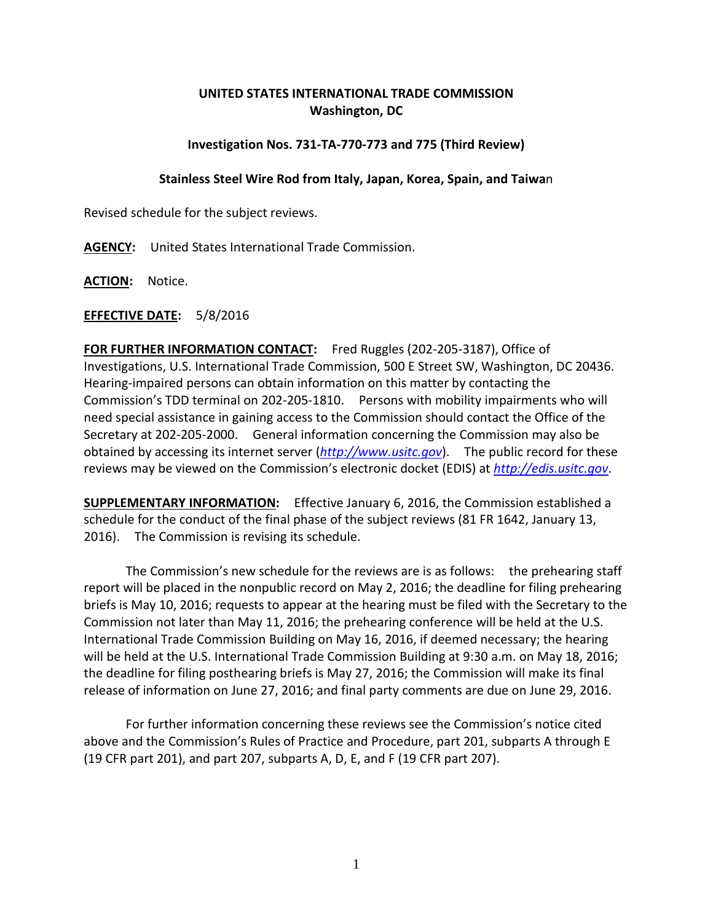## **UNITED STATES INTERNATIONAL TRADE COMMISSION Washington, DC**

## **Investigation Nos. 731-TA-770-773 and 775 (Third Review)**

## **Stainless Steel Wire Rod from Italy, Japan, Korea, Spain, and Taiwa**n

Revised schedule for the subject reviews.

**AGENCY:** United States International Trade Commission.

**ACTION:** Notice.

## **EFFECTIVE DATE:** 5/8/2016

**FOR FURTHER INFORMATION CONTACT:** Fred Ruggles (202-205-3187), Office of Investigations, U.S. International Trade Commission, 500 E Street SW, Washington, DC 20436. Hearing-impaired persons can obtain information on this matter by contacting the Commission's TDD terminal on 202-205-1810. Persons with mobility impairments who will need special assistance in gaining access to the Commission should contact the Office of the Secretary at 202-205-2000. General information concerning the Commission may also be obtained by accessing its internet server (*[http://www.usitc.gov](http://www.usitc.gov/)*). The public record for these reviews may be viewed on the Commission's electronic docket (EDIS) at *[http://edis.usitc.gov](http://edis.usitc.gov/)*.

**SUPPLEMENTARY INFORMATION:** Effective January 6, 2016, the Commission established a schedule for the conduct of the final phase of the subject reviews (81 FR 1642, January 13, 2016). The Commission is revising its schedule.

The Commission's new schedule for the reviews are is as follows: the prehearing staff report will be placed in the nonpublic record on May 2, 2016; the deadline for filing prehearing briefs is May 10, 2016; requests to appear at the hearing must be filed with the Secretary to the Commission not later than May 11, 2016; the prehearing conference will be held at the U.S. International Trade Commission Building on May 16, 2016, if deemed necessary; the hearing will be held at the U.S. International Trade Commission Building at 9:30 a.m. on May 18, 2016; the deadline for filing posthearing briefs is May 27, 2016; the Commission will make its final release of information on June 27, 2016; and final party comments are due on June 29, 2016.

For further information concerning these reviews see the Commission's notice cited above and the Commission's Rules of Practice and Procedure, part 201, subparts A through E (19 CFR part 201), and part 207, subparts A, D, E, and F (19 CFR part 207).